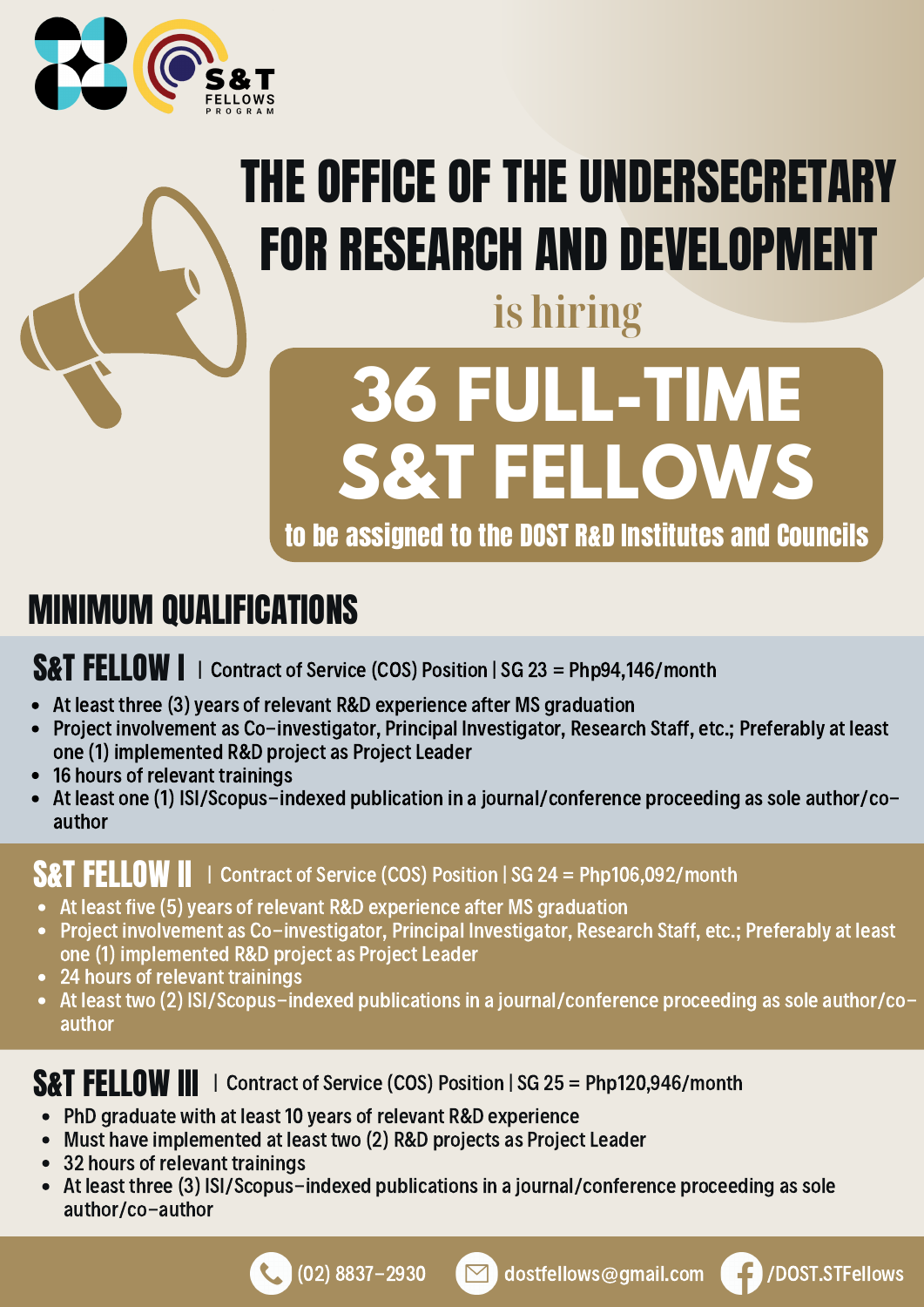

## THE OFFICE OF THE UNDERSECRETARY FOR RESEARCH AND DEVELOPMENT

## **is hiring**

# **36 FULL-TIME S&T FELLOWS**

to be assigned to the DOST R&D Institutes and Councils

#### MINIMUM QUALIFICATIONS

#### **S&T FELLOW**  $\parallel$   $\parallel$  Contract of Service (COS) Position | SG 23 = Php94,146/month

- At least three (3) years of relevant R&D experience after MS graduation
- Project involvement as Co-investigator, Principal Investigator, Research Staff, etc.; Preferably at least one (1) implemented R&D project as Project Leader
- 16 hours of relevant trainings
- At least one (1) ISI/Scopus-indexed publication in a journal/conference proceeding as sole author/co- $\bullet$ author

#### **S&T FELLOW II** | Contract of Service (COS) Position | SG 24 = Php106,092/month

- At least five (5) years of relevant R&D experience after MS graduation
- Project involvement as Co-investigator, Principal Investigator, Research Staff, etc.; Preferably at least one (1) implemented R&D project as Project Leader
- 24 hours of relevant trainings
- At least two (2) ISI/Scopus-indexed publications in a journal/conference proceeding as sole author/coauthor

#### **S&T FELLOW III** | Contract of Service (COS) Position | SG 25 = Php120,946/month

- PhD graduate with at least 10 years of relevant R&D experience
- Must have implemented at least two (2) R&D projects as Project Leader
- 32 hours of relevant trainings
- At least three (3) ISI/Scopus-indexed publications in a journal/conference proceeding as sole author/co-author